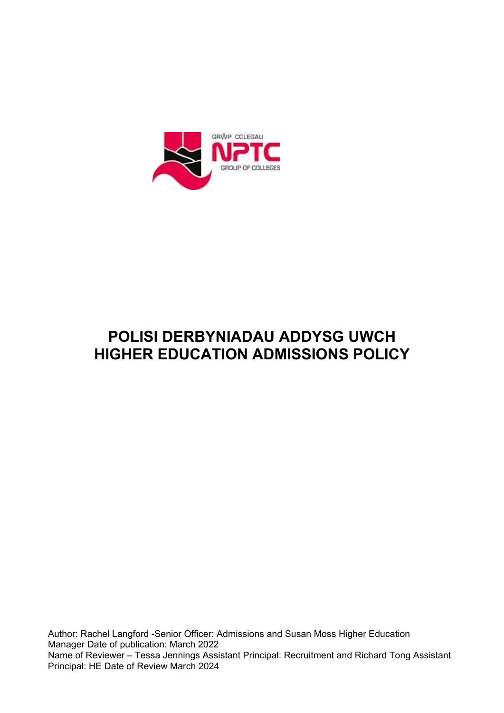

# **POLISI DERBYNIADAU ADDYSG UWCH HIGHER EDUCATION ADMISSIONS POLICY**

Author: Rachel Langford -Senior Officer: Admissions and Susan Moss Higher Education Manager Date of publication: March 2022 Name of Reviewer – Tessa Jennings Assistant Principal: Recruitment and Richard Tong Assistant Principal: HE Date of Review March 2024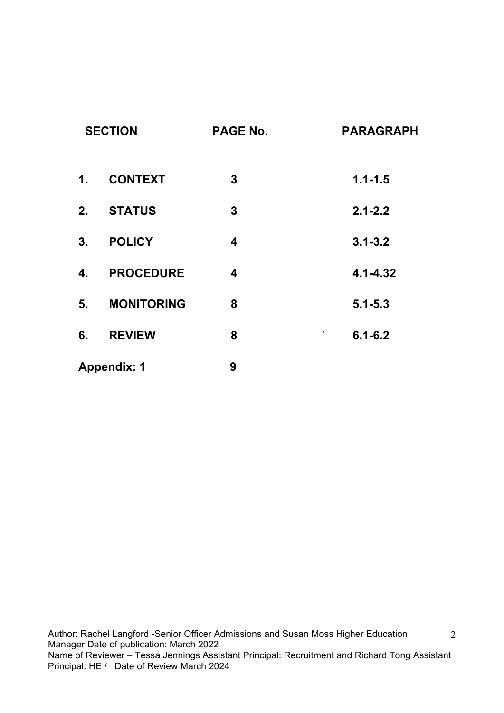| <b>SECTION</b>     |                   | <b>PAGE No.</b>         | <b>PARAGRAPH</b> |
|--------------------|-------------------|-------------------------|------------------|
| $\mathbf{1}$ .     | <b>CONTEXT</b>    | $\boldsymbol{3}$        | $1.1 - 1.5$      |
| 2.                 | <b>STATUS</b>     | $\mathbf 3$             | $2.1 - 2.2$      |
| 3 <sub>1</sub>     | <b>POLICY</b>     | $\overline{\mathbf{4}}$ | $3.1 - 3.2$      |
| 4.                 | <b>PROCEDURE</b>  | $\overline{\mathbf{4}}$ | $4.1 - 4.32$     |
| 5.                 | <b>MONITORING</b> | 8                       | $5.1 - 5.3$      |
| 6.                 | <b>REVIEW</b>     | 8                       | ٠<br>$6.1 - 6.2$ |
| <b>Appendix: 1</b> |                   | 9                       |                  |

2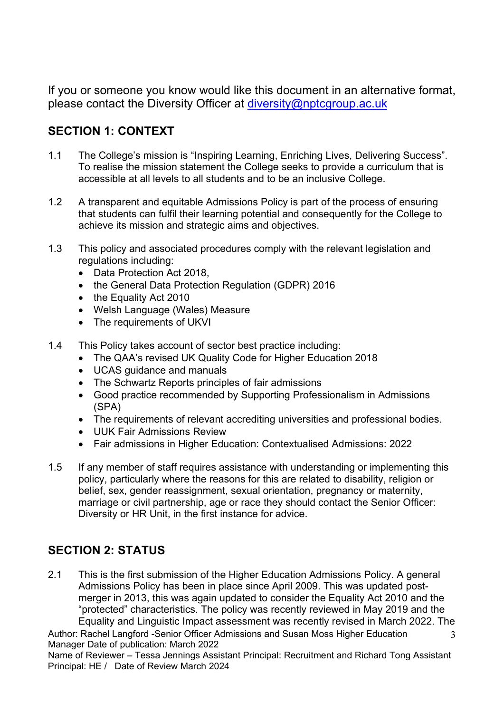If you or someone you know would like this document in an alternative format, please contact the Diversity Officer at [diversity@nptcgroup.ac.uk](mailto:diversity@nptcgroup.ac.uk) 

# **SECTION 1: CONTEXT**

- 1.1 The College's mission is "Inspiring Learning, Enriching Lives, Delivering Success". To realise the mission statement the College seeks to provide a curriculum that is accessible at all levels to all students and to be an inclusive College.
- 1.2 A transparent and equitable Admissions Policy is part of the process of ensuring that students can fulfil their learning potential and consequently for the College to achieve its mission and strategic aims and objectives.
- 1.3 This policy and associated procedures comply with the relevant legislation and regulations including:
	- Data Protection Act 2018,
	- the General Data Protection Regulation (GDPR) 2016
	- the Equality Act 2010
	- Welsh Language (Wales) Measure
	- The requirements of UKVI
- 1.4 This Policy takes account of sector best practice including:
	- The QAA's revised UK Quality Code for Higher Education 2018
	- UCAS guidance and manuals
	- The Schwartz Reports principles of fair admissions
	- Good practice recommended by Supporting Professionalism in Admissions (SPA)
	- The requirements of relevant accrediting universities and professional bodies.
	- UUK Fair Admissions Review
	- Fair admissions in Higher Education: Contextualised Admissions: 2022
- 1.5 If any member of staff requires assistance with understanding or implementing this policy, particularly where the reasons for this are related to disability, religion or belief, sex, gender reassignment, sexual orientation, pregnancy or maternity, marriage or civil partnership, age or race they should contact the Senior Officer: Diversity or HR Unit, in the first instance for advice.

## **SECTION 2: STATUS**

2.1 This is the first submission of the Higher Education Admissions Policy. A general Admissions Policy has been in place since April 2009. This was updated postmerger in 2013, this was again updated to consider the Equality Act 2010 and the "protected" characteristics. The policy was recently reviewed in May 2019 and the Equality and Linguistic Impact assessment was recently revised in March 2022. The

Author: Rachel Langford -Senior Officer Admissions and Susan Moss Higher Education Manager Date of publication: March 2022 3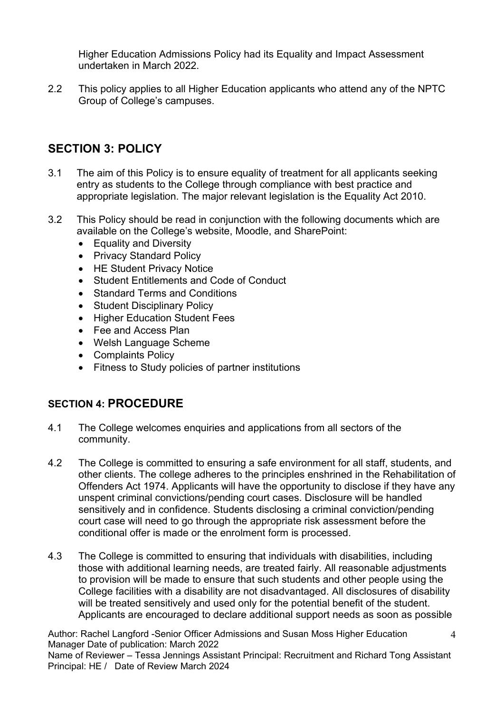Higher Education Admissions Policy had its Equality and Impact Assessment undertaken in March 2022.

2.2 This policy applies to all Higher Education applicants who attend any of the NPTC Group of College's campuses.

## **SECTION 3: POLICY**

- 3.1 The aim of this Policy is to ensure equality of treatment for all applicants seeking entry as students to the College through compliance with best practice and appropriate legislation. The major relevant legislation is the Equality Act 2010.
- 3.2 This Policy should be read in conjunction with the following documents which are available on the College's website, Moodle, and SharePoint:
	- Equality and Diversity
	- Privacy Standard Policy
	- HE Student Privacy Notice
	- Student Entitlements and Code of Conduct
	- Standard Terms and Conditions
	- Student Disciplinary Policy
	- Higher Education Student Fees
	- Fee and Access Plan
	- Welsh Language Scheme
	- Complaints Policy
	- Fitness to Study policies of partner institutions

#### **SECTION 4: PROCEDURE**

- 4.1 The College welcomes enquiries and applications from all sectors of the community.
- 4.2 The College is committed to ensuring a safe environment for all staff, students, and other clients. The college adheres to the principles enshrined in the Rehabilitation of Offenders Act 1974. Applicants will have the opportunity to disclose if they have any unspent criminal convictions/pending court cases. Disclosure will be handled sensitively and in confidence. Students disclosing a criminal conviction/pending court case will need to go through the appropriate risk assessment before the conditional offer is made or the enrolment form is processed.
- 4.3 The College is committed to ensuring that individuals with disabilities, including those with additional learning needs, are treated fairly. All reasonable adjustments to provision will be made to ensure that such students and other people using the College facilities with a disability are not disadvantaged. All disclosures of disability will be treated sensitively and used only for the potential benefit of the student. Applicants are encouraged to declare additional support needs as soon as possible

Author: Rachel Langford -Senior Officer Admissions and Susan Moss Higher Education Manager Date of publication: March 2022

Name of Reviewer – Tessa Jennings Assistant Principal: Recruitment and Richard Tong Assistant Principal: HE / Date of Review March 2024

4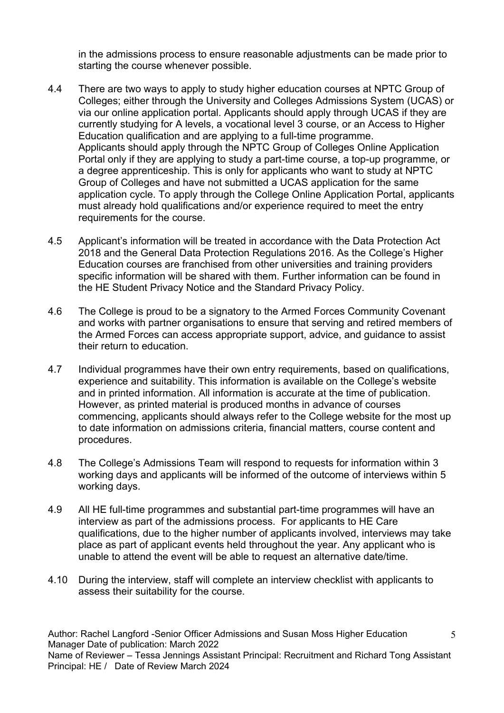in the admissions process to ensure reasonable adjustments can be made prior to starting the course whenever possible.

- 4.4 There are two ways to apply to study higher education courses at NPTC Group of Colleges; either through the University and Colleges Admissions System (UCAS) or via our online application portal. Applicants should apply through UCAS if they are currently studying for A levels, a vocational level 3 course, or an Access to Higher Education qualification and are applying to a full-time programme. Applicants should apply through the NPTC Group of Colleges Online Application Portal only if they are applying to study a part-time course, a top-up programme, or a degree apprenticeship. This is only for applicants who want to study at NPTC Group of Colleges and have not submitted a UCAS application for the same application cycle. To apply through the College Online Application Portal, applicants must already hold qualifications and/or experience required to meet the entry requirements for the course.
- 4.5 Applicant's information will be treated in accordance with the Data Protection Act 2018 and the General Data Protection Regulations 2016. As the College's Higher Education courses are franchised from other universities and training providers specific information will be shared with them. Further information can be found in the HE Student Privacy Notice and the Standard Privacy Policy.
- 4.6 The College is proud to be a signatory to the Armed Forces Community Covenant and works with partner organisations to ensure that serving and retired members of the Armed Forces can access appropriate support, advice, and guidance to assist their return to education.
- 4.7 Individual programmes have their own entry requirements, based on qualifications, experience and suitability. This information is available on the College's website and in printed information. All information is accurate at the time of publication. However, as printed material is produced months in advance of courses commencing, applicants should always refer to the College website for the most up to date information on admissions criteria, financial matters, course content and procedures.
- 4.8 The College's Admissions Team will respond to requests for information within 3 working days and applicants will be informed of the outcome of interviews within 5 working days.
- 4.9 All HE full-time programmes and substantial part-time programmes will have an interview as part of the admissions process. For applicants to HE Care qualifications, due to the higher number of applicants involved, interviews may take place as part of applicant events held throughout the year. Any applicant who is unable to attend the event will be able to request an alternative date/time.
- 4.10 During the interview, staff will complete an interview checklist with applicants to assess their suitability for the course.

Author: Rachel Langford -Senior Officer Admissions and Susan Moss Higher Education Manager Date of publication: March 2022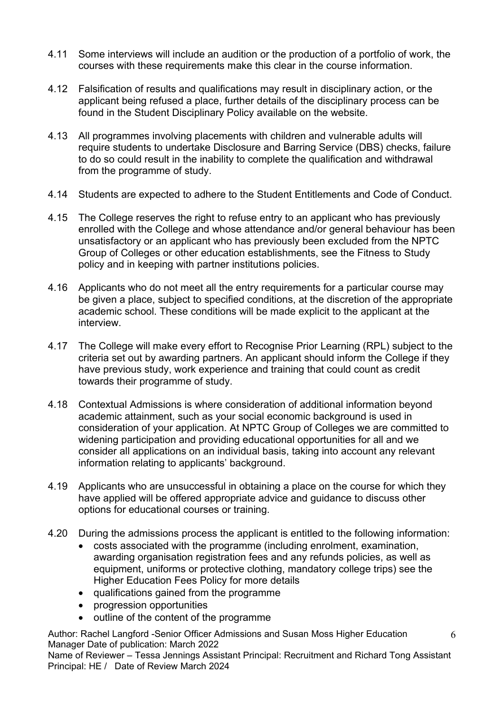- 4.11 Some interviews will include an audition or the production of a portfolio of work, the courses with these requirements make this clear in the course information.
- 4.12 Falsification of results and qualifications may result in disciplinary action, or the applicant being refused a place, further details of the disciplinary process can be found in the Student Disciplinary Policy available on the website.
- 4.13 All programmes involving placements with children and vulnerable adults will require students to undertake Disclosure and Barring Service (DBS) checks, failure to do so could result in the inability to complete the qualification and withdrawal from the programme of study.
- 4.14 Students are expected to adhere to the Student Entitlements and Code of Conduct.
- 4.15 The College reserves the right to refuse entry to an applicant who has previously enrolled with the College and whose attendance and/or general behaviour has been unsatisfactory or an applicant who has previously been excluded from the NPTC Group of Colleges or other education establishments, see the Fitness to Study policy and in keeping with partner institutions policies.
- 4.16 Applicants who do not meet all the entry requirements for a particular course may be given a place, subject to specified conditions, at the discretion of the appropriate academic school. These conditions will be made explicit to the applicant at the interview.
- 4.17 The College will make every effort to Recognise Prior Learning (RPL) subject to the criteria set out by awarding partners. An applicant should inform the College if they have previous study, work experience and training that could count as credit towards their programme of study.
- 4.18 Contextual Admissions is where consideration of additional information beyond academic attainment, such as your social economic background is used in consideration of your application. At NPTC Group of Colleges we are committed to widening participation and providing educational opportunities for all and we consider all applications on an individual basis, taking into account any relevant information relating to applicants' background.
- 4.19 Applicants who are unsuccessful in obtaining a place on the course for which they have applied will be offered appropriate advice and guidance to discuss other options for educational courses or training.
- 4.20 During the admissions process the applicant is entitled to the following information:
	- costs associated with the programme (including enrolment, examination, awarding organisation registration fees and any refunds policies, as well as equipment, uniforms or protective clothing, mandatory college trips) see the Higher Education Fees Policy for more details
	- qualifications gained from the programme
	- progression opportunities
	- outline of the content of the programme

Author: Rachel Langford -Senior Officer Admissions and Susan Moss Higher Education Manager Date of publication: March 2022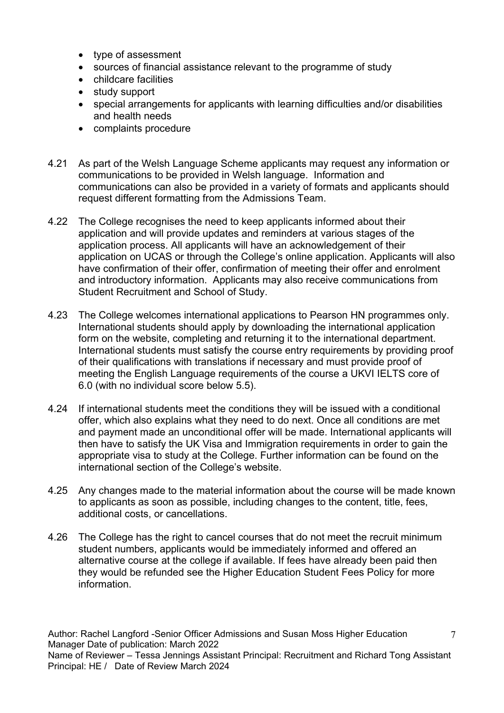- type of assessment
- sources of financial assistance relevant to the programme of study
- childcare facilities
- study support
- special arrangements for applicants with learning difficulties and/or disabilities and health needs
- complaints procedure
- 4.21 As part of the Welsh Language Scheme applicants may request any information or communications to be provided in Welsh language. Information and communications can also be provided in a variety of formats and applicants should request different formatting from the Admissions Team.
- 4.22 The College recognises the need to keep applicants informed about their application and will provide updates and reminders at various stages of the application process. All applicants will have an acknowledgement of their application on UCAS or through the College's online application. Applicants will also have confirmation of their offer, confirmation of meeting their offer and enrolment and introductory information. Applicants may also receive communications from Student Recruitment and School of Study.
- 4.23 The College welcomes international applications to Pearson HN programmes only. International students should apply by downloading the international application form on the website, completing and returning it to the international department. International students must satisfy the course entry requirements by providing proof of their qualifications with translations if necessary and must provide proof of meeting the English Language requirements of the course a UKVI IELTS core of 6.0 (with no individual score below 5.5).
- 4.24 If international students meet the conditions they will be issued with a conditional offer, which also explains what they need to do next. Once all conditions are met and payment made an unconditional offer will be made. International applicants will then have to satisfy the UK Visa and Immigration requirements in order to gain the appropriate visa to study at the College. Further information can be found on the international section of the College's website.
- 4.25 Any changes made to the material information about the course will be made known to applicants as soon as possible, including changes to the content, title, fees, additional costs, or cancellations.
- 4.26 The College has the right to cancel courses that do not meet the recruit minimum student numbers, applicants would be immediately informed and offered an alternative course at the college if available. If fees have already been paid then they would be refunded see the Higher Education Student Fees Policy for more information.

Author: Rachel Langford -Senior Officer Admissions and Susan Moss Higher Education Manager Date of publication: March 2022 Name of Reviewer – Tessa Jennings Assistant Principal: Recruitment and Richard Tong Assistant Principal: HE / Date of Review March 2024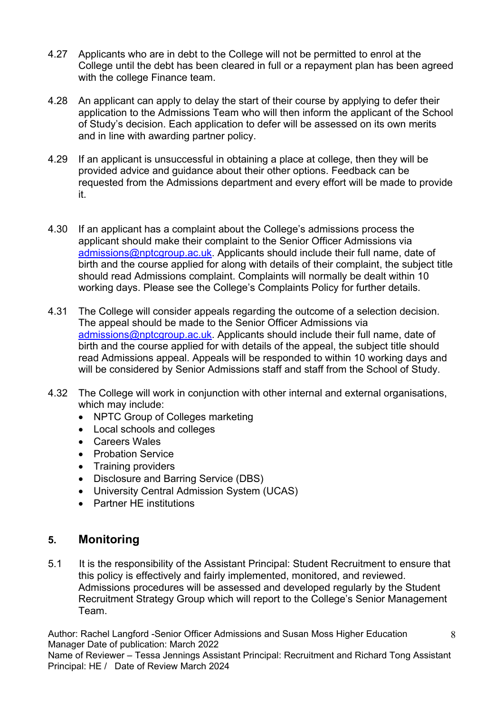- 4.27 Applicants who are in debt to the College will not be permitted to enrol at the College until the debt has been cleared in full or a repayment plan has been agreed with the college Finance team.
- 4.28 An applicant can apply to delay the start of their course by applying to defer their application to the Admissions Team who will then inform the applicant of the School of Study's decision. Each application to defer will be assessed on its own merits and in line with awarding partner policy.
- 4.29 If an applicant is unsuccessful in obtaining a place at college, then they will be provided advice and guidance about their other options. Feedback can be requested from the Admissions department and every effort will be made to provide it.
- 4.30 If an applicant has a complaint about the College's admissions process the applicant should make their complaint to the Senior Officer Admissions via [admissions@nptcgroup.ac.uk.](mailto:admissions@nptcgroup.ac.uk) Applicants should include their full name, date of birth and the course applied for along with details of their complaint, the subject title should read Admissions complaint. Complaints will normally be dealt within 10 working days. Please see the College's Complaints Policy for further details.
- 4.31 The College will consider appeals regarding the outcome of a selection decision. The appeal should be made to the Senior Officer Admissions via [admissions@nptcgroup.ac.uk.](mailto:admissions@nptcgroup.ac.uk) Applicants should include their full name, date of birth and the course applied for with details of the appeal, the subject title should read Admissions appeal. Appeals will be responded to within 10 working days and will be considered by Senior Admissions staff and staff from the School of Study.
- 4.32 The College will work in conjunction with other internal and external organisations, which may include:
	- NPTC Group of Colleges marketing
	- Local schools and colleges
	- Careers Wales
	- Probation Service
	- Training providers
	- Disclosure and Barring Service (DBS)
	- University Central Admission System (UCAS)
	- Partner HE institutions

### **5. Monitoring**

5.1 It is the responsibility of the Assistant Principal: Student Recruitment to ensure that this policy is effectively and fairly implemented, monitored, and reviewed. Admissions procedures will be assessed and developed regularly by the Student Recruitment Strategy Group which will report to the College's Senior Management Team.

Author: Rachel Langford -Senior Officer Admissions and Susan Moss Higher Education Manager Date of publication: March 2022